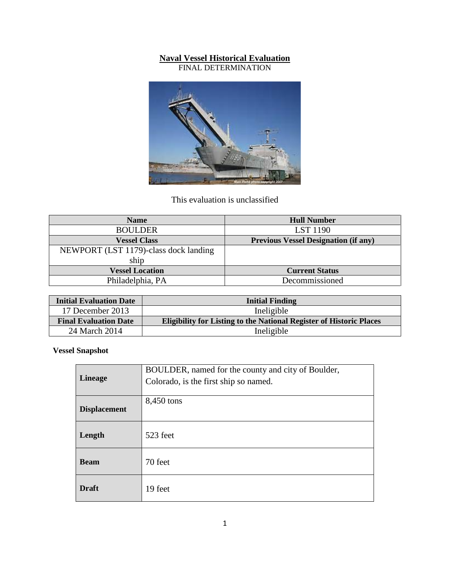#### **Naval Vessel Historical Evaluation**

FINAL DETERMINATION



# This evaluation is unclassified

| <b>Name</b>                           | <b>Hull Number</b>                          |
|---------------------------------------|---------------------------------------------|
| <b>BOULDER</b>                        | <b>LST</b> 1190                             |
| <b>Vessel Class</b>                   | <b>Previous Vessel Designation (if any)</b> |
| NEWPORT (LST 1179)-class dock landing |                                             |
| ship                                  |                                             |
| <b>Vessel Location</b>                | <b>Current Status</b>                       |
| Philadelphia, PA                      | Decommissioned                              |

| <b>Initial Evaluation Date</b> | <b>Initial Finding</b>                                                     |  |
|--------------------------------|----------------------------------------------------------------------------|--|
| 17 December 2013               | Ineligible                                                                 |  |
| <b>Final Evaluation Date</b>   | <b>Eligibility for Listing to the National Register of Historic Places</b> |  |
| 24 March 2014                  | Ineligible                                                                 |  |

**Vessel Snapshot**

| <b>Lineage</b>      | BOULDER, named for the county and city of Boulder,<br>Colorado, is the first ship so named. |  |
|---------------------|---------------------------------------------------------------------------------------------|--|
| <b>Displacement</b> | 8,450 tons                                                                                  |  |
| Length              | 523 feet                                                                                    |  |
| <b>Beam</b>         | 70 feet                                                                                     |  |
| <b>Draft</b>        | 19 feet                                                                                     |  |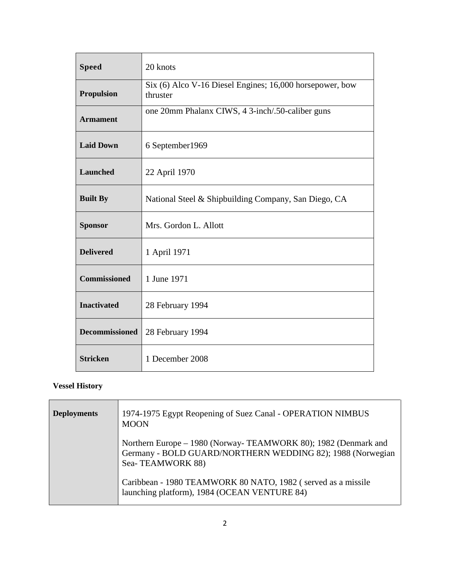| <b>Speed</b>          | 20 knots                                                             |
|-----------------------|----------------------------------------------------------------------|
| <b>Propulsion</b>     | Six (6) Alco V-16 Diesel Engines; 16,000 horsepower, bow<br>thruster |
| <b>Armament</b>       | one 20mm Phalanx CIWS, 4 3-inch/.50-caliber guns                     |
| <b>Laid Down</b>      | 6 September 1969                                                     |
| <b>Launched</b>       | 22 April 1970                                                        |
| <b>Built By</b>       | National Steel & Shipbuilding Company, San Diego, CA                 |
| <b>Sponsor</b>        | Mrs. Gordon L. Allott                                                |
| <b>Delivered</b>      | 1 April 1971                                                         |
| <b>Commissioned</b>   | 1 June 1971                                                          |
| <b>Inactivated</b>    | 28 February 1994                                                     |
| <b>Decommissioned</b> | 28 February 1994                                                     |
| <b>Stricken</b>       | 1 December 2008                                                      |

# **Vessel History**

| <b>Deployments</b> | 1974-1975 Egypt Reopening of Suez Canal - OPERATION NIMBUS<br><b>MOON</b>                                                                        |
|--------------------|--------------------------------------------------------------------------------------------------------------------------------------------------|
|                    | Northern Europe - 1980 (Norway-TEAMWORK 80); 1982 (Denmark and<br>Germany - BOLD GUARD/NORTHERN WEDDING 82); 1988 (Norwegian<br>Sea-TEAMWORK 88) |
|                    | Caribbean - 1980 TEAMWORK 80 NATO, 1982 (served as a missile<br>launching platform), 1984 (OCEAN VENTURE 84)                                     |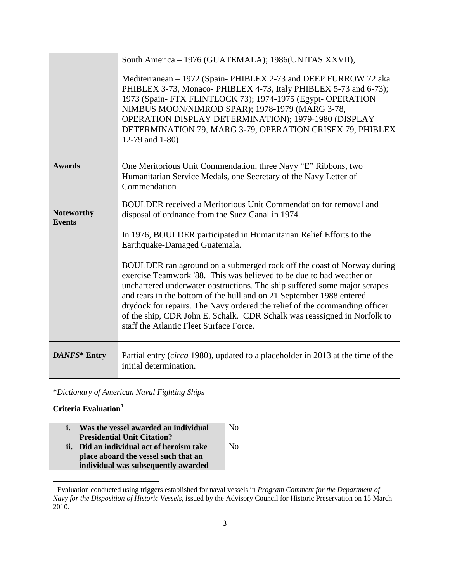|                                    | South America - 1976 (GUATEMALA); 1986(UNITAS XXVII),                                                                                                                                                                                                                                                                                                                                                                                                                                                    |  |
|------------------------------------|----------------------------------------------------------------------------------------------------------------------------------------------------------------------------------------------------------------------------------------------------------------------------------------------------------------------------------------------------------------------------------------------------------------------------------------------------------------------------------------------------------|--|
|                                    | Mediterranean - 1972 (Spain-PHIBLEX 2-73 and DEEP FURROW 72 aka<br>PHIBLEX 3-73, Monaco- PHIBLEX 4-73, Italy PHIBLEX 5-73 and 6-73);<br>1973 (Spain-FTX FLINTLOCK 73); 1974-1975 (Egypt- OPERATION<br>NIMBUS MOON/NIMROD SPAR); 1978-1979 (MARG 3-78,<br>OPERATION DISPLAY DETERMINATION); 1979-1980 (DISPLAY<br>DETERMINATION 79, MARG 3-79, OPERATION CRISEX 79, PHIBLEX<br>12-79 and 1-80)                                                                                                            |  |
| <b>Awards</b>                      | One Meritorious Unit Commendation, three Navy "E" Ribbons, two<br>Humanitarian Service Medals, one Secretary of the Navy Letter of<br>Commendation                                                                                                                                                                                                                                                                                                                                                       |  |
| <b>Noteworthy</b><br><b>Events</b> | <b>BOULDER</b> received a Meritorious Unit Commendation for removal and<br>disposal of ordnance from the Suez Canal in 1974.                                                                                                                                                                                                                                                                                                                                                                             |  |
|                                    | In 1976, BOULDER participated in Humanitarian Relief Efforts to the<br>Earthquake-Damaged Guatemala.                                                                                                                                                                                                                                                                                                                                                                                                     |  |
|                                    | BOULDER ran aground on a submerged rock off the coast of Norway during<br>exercise Teamwork '88. This was believed to be due to bad weather or<br>unchartered underwater obstructions. The ship suffered some major scrapes<br>and tears in the bottom of the hull and on 21 September 1988 entered<br>drydock for repairs. The Navy ordered the relief of the commanding officer<br>of the ship, CDR John E. Schalk. CDR Schalk was reassigned in Norfolk to<br>staff the Atlantic Fleet Surface Force. |  |
| <b>DANFS*</b> Entry                | Partial entry (circa 1980), updated to a placeholder in 2013 at the time of the<br>initial determination.                                                                                                                                                                                                                                                                                                                                                                                                |  |

\**Dictionary of American Naval Fighting Ships*

### **Criteria Evaluation[1](#page-2-0)**

| Was the vessel awarded an individual<br><b>Presidential Unit Citation?</b> | N <sub>0</sub> |
|----------------------------------------------------------------------------|----------------|
| ii. Did an individual act of heroism take                                  | N <sub>0</sub> |
| place aboard the vessel such that an                                       |                |
| individual was subsequently awarded                                        |                |

<span id="page-2-0"></span><sup>1</sup> Evaluation conducted using triggers established for naval vessels in *Program Comment for the Department of Navy for the Disposition of Historic Vessels*, issued by the Advisory Council for Historic Preservation on 15 March 2010.